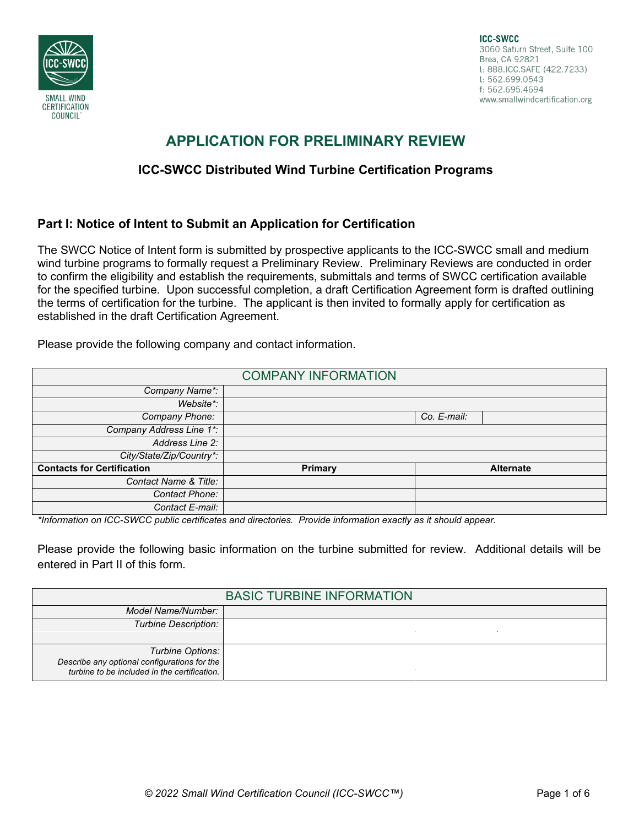

**ICC-SWCC** 3060 Saturn Street, Suite 100 Brea, CA 92821 t: 888.ICC.SAFE (422.7233) t: 562.699.0543 f: 562.695.4694 www.smallwindcertification.org

# **APPLICATION FOR PRELIMINARY REVIEW**

# **ICC-SWCC Distributed Wind Turbine Certification Programs**

# **Part I: Notice of Intent to Submit an Application for Certification**

The SWCC Notice of Intent form is submitted by prospective applicants to the ICC-SWCC small and medium wind turbine programs to formally request a Preliminary Review. Preliminary Reviews are conducted in order to confirm the eligibility and establish the requirements, submittals and terms of SWCC certification available for the specified turbine. Upon successful completion, a draft Certification Agreement form is drafted outlining the terms of certification for the turbine. The applicant is then invited to formally apply for certification as established in the draft Certification Agreement.

Please provide the following company and contact information.

|                                   | <b>COMPANY INFORMATION</b> |             |                  |
|-----------------------------------|----------------------------|-------------|------------------|
| Company Name*:                    |                            |             |                  |
| Website*:                         |                            |             |                  |
| Company Phone:                    |                            | Co. E-mail: |                  |
| Company Address Line 1*:          |                            |             |                  |
| Address Line 2:                   |                            |             |                  |
| City/State/Zip/Country*:          |                            |             |                  |
| <b>Contacts for Certification</b> | <b>Primary</b>             |             | <b>Alternate</b> |
| Contact Name & Title:             |                            |             |                  |
| Contact Phone:                    |                            |             |                  |
| Contact E-mail:                   |                            |             |                  |

*\*Information on ICC-SWCC public certificates and directories. Provide information exactly as it should appear.*

Please provide the following basic information on the turbine submitted for review. Additional details will be entered in Part II of this form.

| <b>BASIC TURBINE INFORMATION</b>                                                                                 |  |  |  |
|------------------------------------------------------------------------------------------------------------------|--|--|--|
| Model Name/Number:                                                                                               |  |  |  |
| <b>Turbine Description:</b>                                                                                      |  |  |  |
| Turbine Options:<br>Describe any optional configurations for the<br>turbine to be included in the certification. |  |  |  |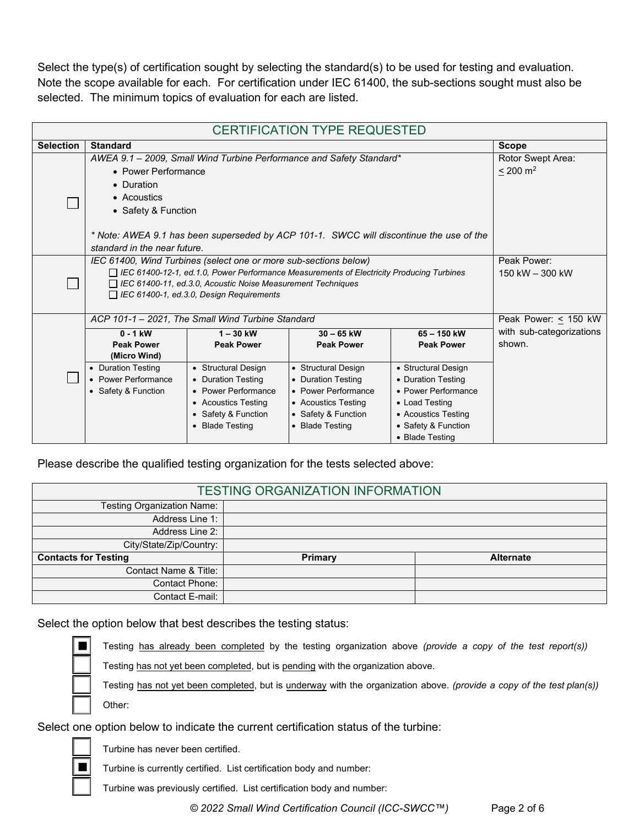Select the type(s) of certification sought by selecting the standard(s) to be used for testing and evaluation. Note the scope available for each. For certification under IEC 61400, the sub-sections sought must also be selected. The minimum topics of evaluation for each are listed.

| <b>CERTIFICATION TYPE REQUESTED</b> |                                                                                                                  |                                            |                                            |                                       |                           |
|-------------------------------------|------------------------------------------------------------------------------------------------------------------|--------------------------------------------|--------------------------------------------|---------------------------------------|---------------------------|
| <b>Selection</b>                    | <b>Standard</b>                                                                                                  |                                            |                                            | <b>Scope</b>                          |                           |
|                                     | AWEA 9.1 - 2009, Small Wind Turbine Performance and Safety Standard*                                             | Rotor Swept Area:                          |                                            |                                       |                           |
|                                     | • Power Performance                                                                                              |                                            | $< 200 \text{ m}^2$                        |                                       |                           |
|                                     | • Duration                                                                                                       |                                            |                                            |                                       |                           |
|                                     | • Acoustics                                                                                                      |                                            |                                            |                                       |                           |
|                                     | • Safety & Function                                                                                              |                                            |                                            |                                       |                           |
|                                     |                                                                                                                  |                                            |                                            |                                       |                           |
|                                     | * Note: AWEA 9.1 has been superseded by ACP 101-1. SWCC will discontinue the use of the                          |                                            |                                            |                                       |                           |
|                                     | standard in the near future.                                                                                     |                                            |                                            |                                       |                           |
|                                     | IEC 61400, Wind Turbines (select one or more sub-sections below)                                                 |                                            |                                            |                                       | Peak Power:               |
|                                     | □ IEC 61400-12-1, ed.1.0, Power Performance Measurements of Electricity Producing Turbines                       |                                            |                                            |                                       | 150 kW - 300 kW           |
|                                     | □ IEC 61400-11, ed.3.0, Acoustic Noise Measurement Techniques<br>$\Box$ IEC 61400-1, ed.3.0, Design Requirements |                                            |                                            |                                       |                           |
|                                     |                                                                                                                  |                                            |                                            |                                       |                           |
|                                     | ACP 101-1 - 2021, The Small Wind Turbine Standard                                                                |                                            |                                            |                                       | Peak Power: $\leq$ 150 kW |
|                                     | $0 - 1$ kW                                                                                                       | $1 - 30$ kW                                | $30 - 65$ kW                               | 65 - 150 kW                           | with sub-categorizations  |
|                                     | <b>Peak Power</b>                                                                                                | <b>Peak Power</b>                          | <b>Peak Power</b>                          | <b>Peak Power</b>                     | shown.                    |
|                                     | (Micro Wind)                                                                                                     |                                            |                                            |                                       |                           |
|                                     | • Duration Testing                                                                                               | • Structural Design                        | • Structural Design                        | • Structural Design                   |                           |
|                                     | • Power Performance                                                                                              | • Duration Testing                         | • Duration Testing                         | • Duration Testing                    |                           |
|                                     | • Safety & Function                                                                                              | • Power Performance                        | • Power Performance                        | • Power Performance                   |                           |
|                                     |                                                                                                                  | • Acoustics Testing<br>• Safety & Function | • Acoustics Testing<br>• Safety & Function | • Load Testing<br>• Acoustics Testing |                           |
|                                     |                                                                                                                  | • Blade Testing                            | • Blade Testing                            | • Safety & Function                   |                           |
|                                     |                                                                                                                  |                                            |                                            | • Blade Testing                       |                           |

Please describe the qualified testing organization for the tests selected above:

| <b>TESTING ORGANIZATION INFORMATION</b> |         |                  |  |  |  |
|-----------------------------------------|---------|------------------|--|--|--|
| <b>Testing Organization Name:</b>       |         |                  |  |  |  |
| Address Line 1:                         |         |                  |  |  |  |
| Address Line 2:                         |         |                  |  |  |  |
| City/State/Zip/Country:                 |         |                  |  |  |  |
| <b>Contacts for Testing</b>             | Primary | <b>Alternate</b> |  |  |  |
| Contact Name & Title:                   |         |                  |  |  |  |
| Contact Phone:                          |         |                  |  |  |  |
| Contact E-mail:                         |         |                  |  |  |  |

Select the option below that best describes the testing status:

Testing has already been completed by the testing organization above *(provide a copy of the test report(s))*

Testing has not yet been completed, but is pending with the organization above.

■

Testing has not yet been completed, but is underway with the organization above. *(provide a copy of the test plan(s))* Other:

Select one option below to indicate the current certification status of the turbine:

■

Turbine has never been certified.

Turbine is currently certified. List certification body and number:

Turbine was previously certified. List certification body and number:

*© 2022 Small Wind Certification Council (ICC-SWCC™)* Page 2 of 6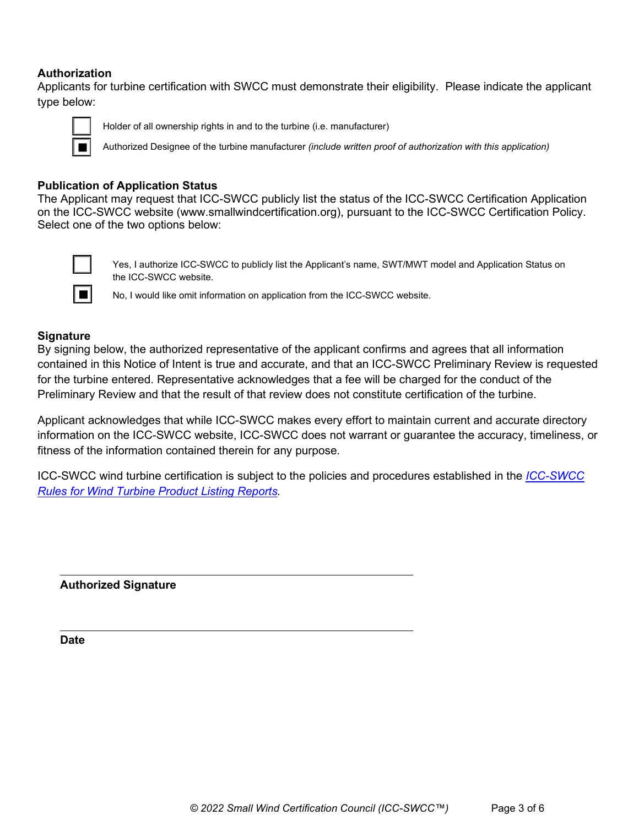# **Authorization**

Applicants for turbine certification with SWCC must demonstrate their eligibility. Please indicate the applicant type below:



Holder of all ownership rights in and to the turbine (i.e. manufacturer)

Authorized Designee of the turbine manufacturer *(include written proof of authorization with this application)*

### **Publication of Application Status**

The Applicant may request that ICC-SWCC publicly list the status of the ICC-SWCC Certification Application on the ICC-SWCC website (www.smallwindcertification.org), pursuant to the ICC-SWCC Certification Policy. Select one of the two options below:



Yes, I authorize ICC-SWCC to publicly list the Applicant's name, SWT/MWT model and Application Status on the ICC-SWCC website.

No, I would like omit information on application from the ICC-SWCC website.

### **Signature**

By signing below, the authorized representative of the applicant confirms and agrees that all information contained in this Notice of Intent is true and accurate, and that an ICC-SWCC Preliminary Review is requested for the turbine entered. Representative acknowledges that a fee will be charged for the conduct of the Preliminary Review and that the result of that review does not constitute certification of the turbine.

Applicant acknowledges that while ICC-SWCC makes every effort to maintain current and accurate directory information on the ICC-SWCC website, ICC-SWCC does not warrant or guarantee the accuracy, timeliness, or fitness of the information contained therein for any purpose.

ICC-SWCC wind turbine certification is subject to the policies and procedures established in the *[ICC-SWCC](https://smallwindcertification.org/resources/swcc-policies/)  [Rules for Wind Turbine Product Listing Reports.](https://smallwindcertification.org/resources/swcc-policies/)* 

### **Authorized Signature**

**Date**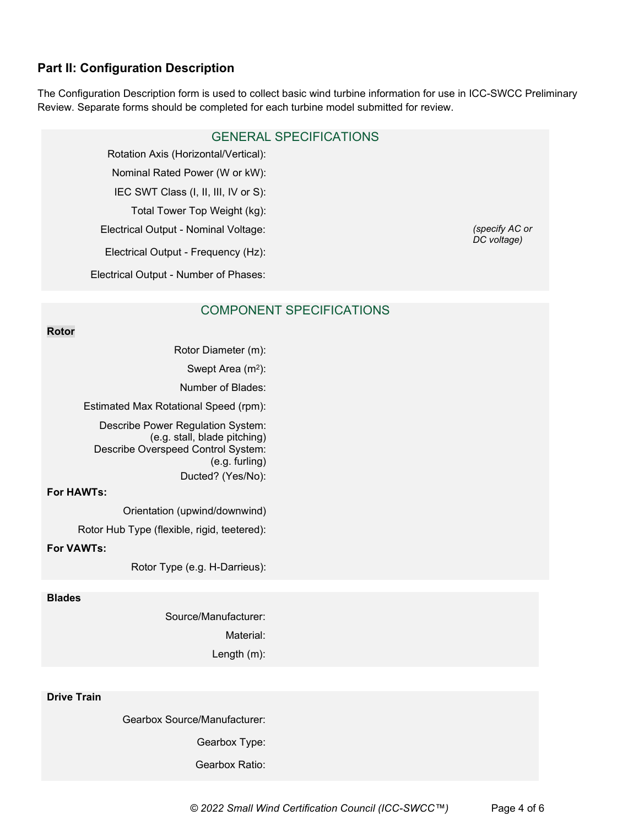# **Part II: Configuration Description**

The Configuration Description form is used to collect basic wind turbine information for use in ICC-SWCC Preliminary Review. Separate forms should be completed for each turbine model submitted for review.

# GENERAL SPECIFICATIONS

Rotation Axis (Horizontal/Vertical):

Nominal Rated Power (W or kW):

IEC SWT Class (I, II, III, IV or S):

Total Tower Top Weight (kg):

Electrical Output - Nominal Voltage: *(specify AC or* 

Electrical Output - Frequency (Hz):

Electrical Output - Number of Phases:

*DC voltage)*

# COMPONENT SPECIFICATIONS

#### **Rotor**

Rotor Diameter (m):

Swept Area (m<sup>2</sup>):

Number of Blades:

Estimated Max Rotational Speed (rpm):

Describe Power Regulation System: (e.g. stall, blade pitching) Describe Overspeed Control System: (e.g. furling) Ducted? (Yes/No):

#### **For HAWTs:**

Orientation (upwind/downwind)

Rotor Hub Type (flexible, rigid, teetered):

**For VAWTs:**

Rotor Type (e.g. H-Darrieus):

#### **Blades**

Source/Manufacturer:

Material:

Length (m):

#### **Drive Train**

Gearbox Source/Manufacturer:

Gearbox Type:

Gearbox Ratio: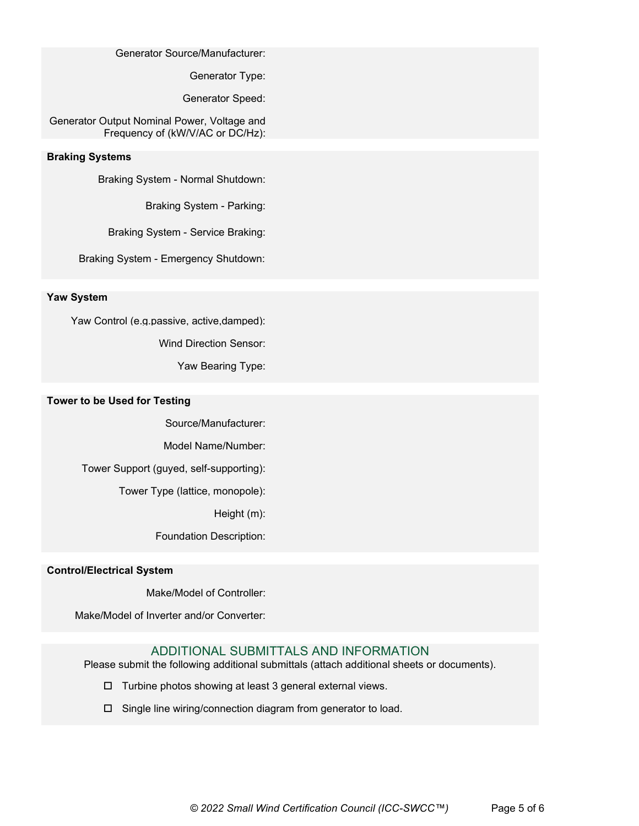Generator Source/Manufacturer:

Generator Type:

Generator Speed:

Generator Output Nominal Power, Voltage and Frequency of (kW/V/AC or DC/Hz):

#### **Braking Systems**

Braking System - Normal Shutdown:

Braking System - Parking:

Braking System - Service Braking:

Braking System - Emergency Shutdown:

#### **Yaw System**

Yaw Control (e.g.passive, active,damped):

Wind Direction Sensor:

Yaw Bearing Type:

#### **Tower to be Used for Testing**

Source/Manufacturer:

Model Name/Number:

Tower Support (guyed, self-supporting):

Tower Type (lattice, monopole):

Height (m):

Foundation Description:

#### **Control/Electrical System**

Make/Model of Controller:

Make/Model of Inverter and/or Converter:

### ADDITIONAL SUBMITTALS AND INFORMATION

Please submit the following additional submittals (attach additional sheets or documents).

- $\Box$  Turbine photos showing at least 3 general external views.
- □ Single line wiring/connection diagram from generator to load.